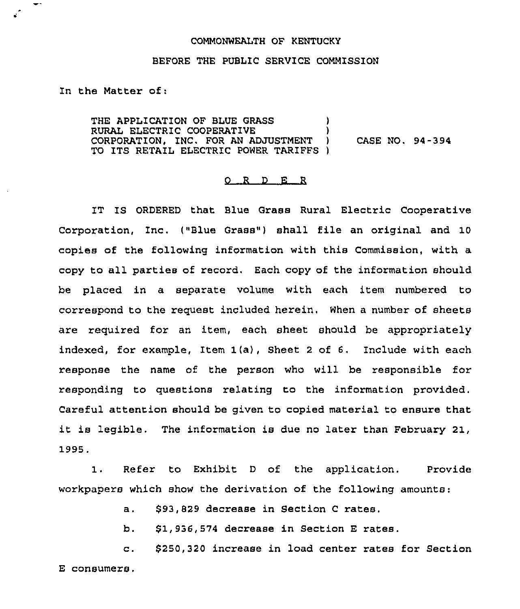## COMMONWEALTH OF KENTUCKY

## BEFORE THE PUBLIC SERVICE COMMISSION

In the Matter of:

THE APPLICATION OF BLUE GRASS RURAL ELECTRIC COOPERATIVE ) CORPORATION, INC. FOR AN ADJUSTMENT ) CASE NO. 94-394 TO ITS RETAIL ELECTRIC POWER TARIFFS )

## 0 <sup>R</sup> <sup>D</sup> E <sup>R</sup>

IT IS ORDERED that Blue Grass Rural Electric Cooperative Corporation, Inc. ("Blue Grass") shall file an original and 10 copies of the following information with this Commission, with a copy to all parties of recoxd. Each copy of the infoxmation should be placed in a separate volume with each item numbered to correspond to the request included herein. When a number of sheets are required for an item, each sheet should be appropriately indexed, for example, Item 1(a), Sheet <sup>2</sup> of 6, Include with each xesponse the name of the person who will be responsible for responding to questions relating to the information provided. Careful attention should be given to copied material to ensure that it is legible. The information is due no later than February 21, 1995.

1. Refer to Exhibit <sup>D</sup> of the application. Provide workpapers which show the derivation of the following amounts:

a. \$93,829 decrease in Section C rates.

b. \$1,936,574 decrease in Section E rates.

\$250,320 increase in load center rates for Section  $\mathbf{c}$ . E consumers.